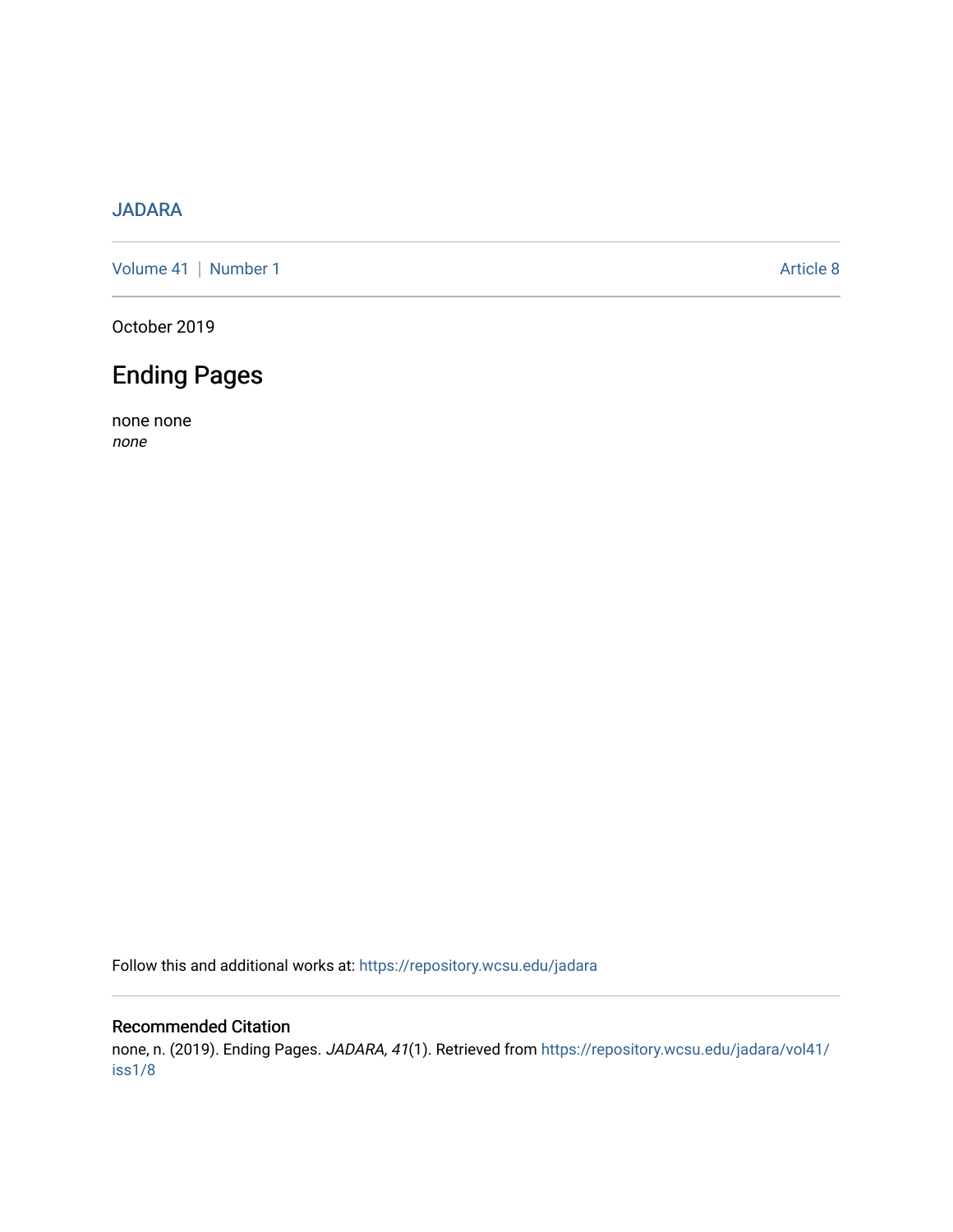## [JADARA](https://repository.wcsu.edu/jadara)

[Volume 41](https://repository.wcsu.edu/jadara/vol41) | [Number 1](https://repository.wcsu.edu/jadara/vol41/iss1) Article 8

October 2019

# Ending Pages

none none none

Follow this and additional works at: [https://repository.wcsu.edu/jadara](https://repository.wcsu.edu/jadara?utm_source=repository.wcsu.edu%2Fjadara%2Fvol41%2Fiss1%2F8&utm_medium=PDF&utm_campaign=PDFCoverPages)

#### Recommended Citation

none, n. (2019). Ending Pages. JADARA, 41(1). Retrieved from [https://repository.wcsu.edu/jadara/vol41/](https://repository.wcsu.edu/jadara/vol41/iss1/8?utm_source=repository.wcsu.edu%2Fjadara%2Fvol41%2Fiss1%2F8&utm_medium=PDF&utm_campaign=PDFCoverPages) [iss1/8](https://repository.wcsu.edu/jadara/vol41/iss1/8?utm_source=repository.wcsu.edu%2Fjadara%2Fvol41%2Fiss1%2F8&utm_medium=PDF&utm_campaign=PDFCoverPages)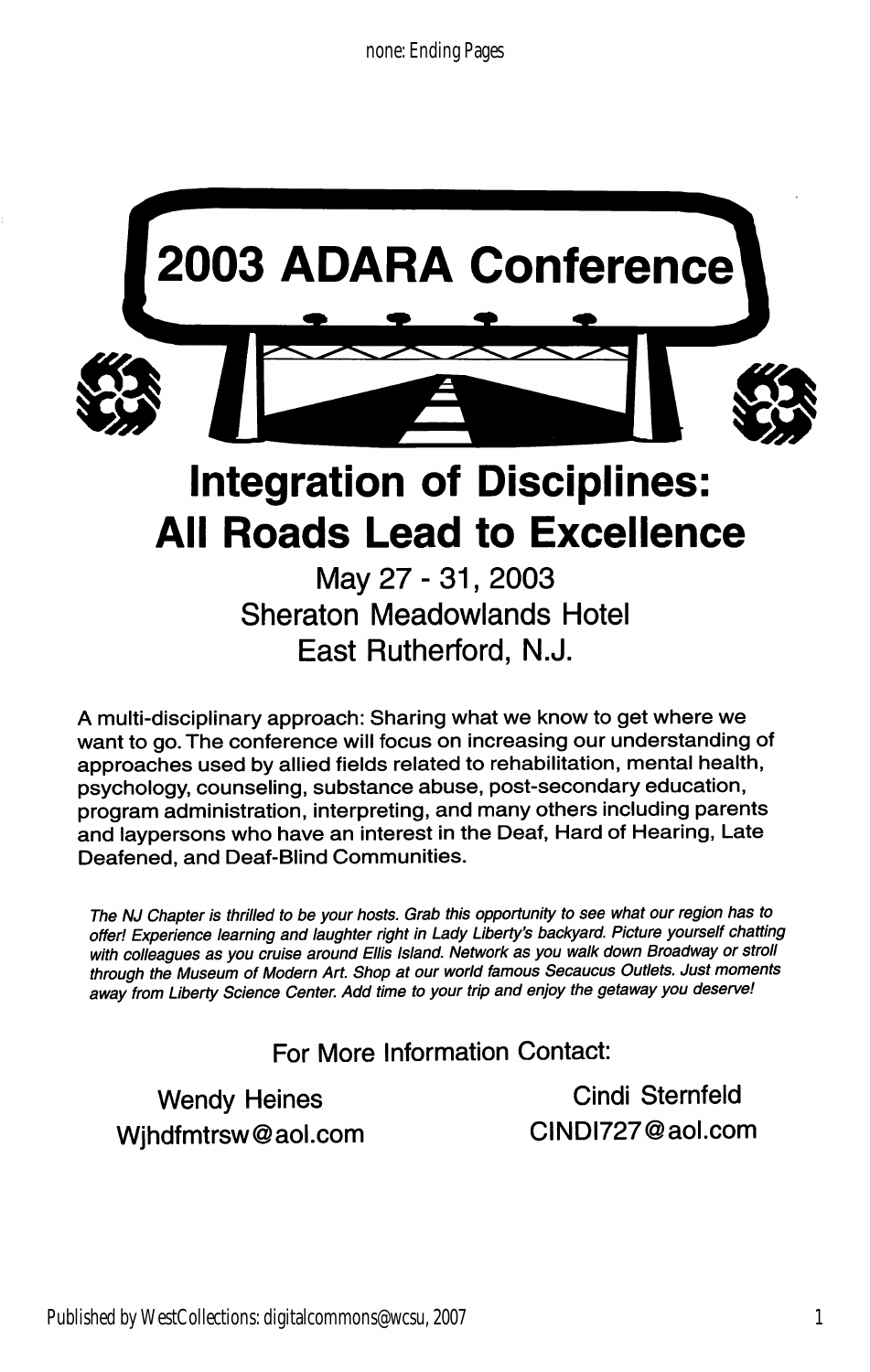

A multi-disciplinary approach: Sharing what we know to get where we want to go. The conference will focus on increasing our understanding of approaches used by allied fields related to rehabilitation, mental health, psychology, counseling, substance abuse, post-secondary education, program administration, interpreting, and many others including parents and laypersons who have an interest in the Deaf, Hard of Hearing, Late Deafened, and Deaf-Blind Communities.

The NJ Chapter is thrilled to be your hosts. Grab this opportunity to see what our region has to offer! Experience learning and laughter right in Lady Liberty's backyard. Picture yourself chatting with colleagues as you cruise around Ellis Island. Network as you walk down Broadway or stroll through the Museum of Modern Art. Shop at our world famous Secaucus Outlets. Just moments away from Liberty Science Center. Add time to your trip and enjoy the getaway you deserve!

## For More Information Contact:

Wjhdfmtrsw@aol.com CINDI727@aol.com

Wendy Heines **Cindi Sternfeld**